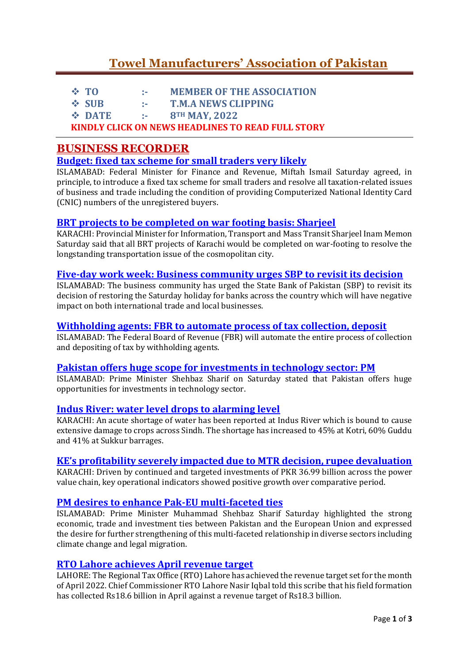# **[Towel Manufacturers' Association of Pakistan](https://www.towelassociation.com/)**

|                                                   | $\div$ TO     | -240           | <b>MEMBER OF THE ASSOCIATION</b> |
|---------------------------------------------------|---------------|----------------|----------------------------------|
|                                                   | $\div$ SUB    | <b>Service</b> | <b>T.M.A NEWS CLIPPING</b>       |
|                                                   | <b>☆ DATE</b> | 1990 F         | 8TH MAY, 2022                    |
| KINDLY CLICK ON NEWS HEADLINES TO READ FULL STORY |               |                |                                  |

# **BUSINESS RECORDER**

# **[Budget: fixed tax scheme for small traders very likely](https://epaper.brecorder.com/2022/05/08/1-page/928671-news.html)**

ISLAMABAD: Federal Minister for Finance and Revenue, Miftah Ismail Saturday agreed, in principle, to introduce a fixed tax scheme for small traders and resolve all taxation-related issues of business and trade including the condition of providing Computerized National Identity Card (CNIC) numbers of the unregistered buyers.

## **[BRT projects to be completed on war footing basis: Sharjeel](https://epaper.brecorder.com/2022/05/08/1-page/928674-news.html)**

KARACHI: Provincial Minister for Information, Transport and Mass Transit Sharjeel Inam Memon Saturday said that all BRT projects of Karachi would be completed on war-footing to resolve the longstanding transportation issue of the cosmopolitan city.

#### **[Five-day work week: Business community urges SBP to revisit its decision](https://epaper.brecorder.com/2022/05/08/1-page/928673-news.html)**

ISLAMABAD: The business community has urged the State Bank of Pakistan (SBP) to revisit its decision of restoring the Saturday holiday for banks across the country which will have negative impact on both international trade and local businesses.

## **[Withholding agents: FBR to automate process of tax collection, deposit](https://epaper.brecorder.com/2022/05/08/1-page/928664-news.html)**

ISLAMABAD: The Federal Board of Revenue (FBR) will automate the entire process of collection and depositing of tax by withholding agents.

## **Pakistan offers huge [scope for investments in technology sector: PM](https://epaper.brecorder.com/2022/05/08/2-page/928682-news.html)**

ISLAMABAD: Prime Minister Shehbaz Sharif on Saturday stated that Pakistan offers huge opportunities for investments in technology sector.

## **[Indus River: water level drops to alarming level](https://epaper.brecorder.com/2022/05/08/3-page/928693-news.html)**

KARACHI: An acute shortage of water has been reported at Indus River which is bound to cause extensive damage to crops across Sindh. The shortage has increased to 45% at Kotri, 60% Guddu and 41% at Sukkur barrages.

## **[KE's profitability severely impacted due to MTR decision, rupee devaluation](https://epaper.brecorder.com/2022/05/08/3-page/928694-news.html)**

KARACHI: Driven by continued and targeted investments of PKR 36.99 billion across the power value chain, key operational indicators showed positive growth over comparative period.

## **[PM desires to enhance Pak-EU multi-faceted ties](https://epaper.brecorder.com/2022/05/08/9-page/928747-news.html)**

ISLAMABAD: Prime Minister Muhammad Shehbaz Sharif Saturday highlighted the strong economic, trade and investment ties between Pakistan and the European Union and expressed the desire for further strengthening of this multi-faceted relationship in diverse sectors including climate change and legal migration.

## **[RTO Lahore achieves April revenue target](https://epaper.brecorder.com/2022/05/08/10-page/928762-news.html)**

LAHORE: The Regional Tax Office (RTO) Lahore has achieved the revenue target set for the month of April 2022. Chief Commissioner RTO Lahore Nasir Iqbal told this scribe that his field formation has collected Rs18.6 billion in April against a revenue target of Rs18.3 billion.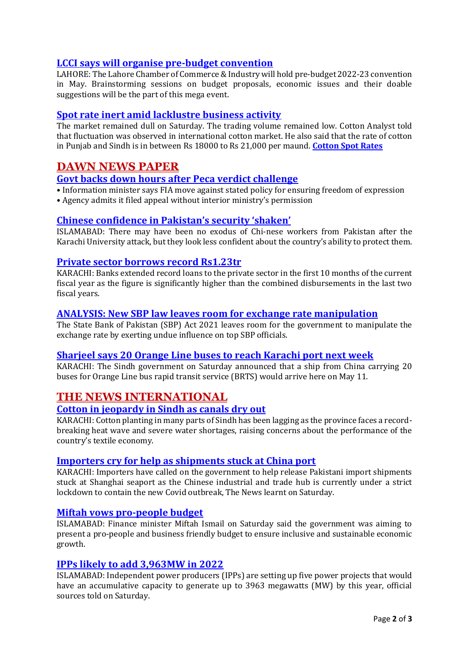# **[LCCI says will organise pre-budget convention](https://epaper.brecorder.com/2022/05/08/10-page/928761-news.html)**

LAHORE: The Lahore Chamber of Commerce & Industry will hold pre-budget 2022-23 convention in May. Brainstorming sessions on budget proposals, economic issues and their doable suggestions will be the part of this mega event.

# **[Spot rate inert amid lacklustre business activity](https://epaper.brecorder.com/2022/05/08/7-page/928724-news.html)**

The market remained dull on Saturday. The trading volume remained low. Cotton Analyst told that fluctuation was observed in international cotton market. He also said that the rate of cotton in Punjab and Sindh is in between Rs 18000 to Rs 21,000 per maund. **[Cotton Spot Rates](https://epaper.brecorder.com/2022/05/08/7-page/928725-news.html)**

# **DAWN NEWS PAPER**

# **[Govt backs down hours after Peca verdict challenge](https://www.dawn.com/news/1688572)**

• Information minister says FIA move against stated policy for ensuring freedom of expression • Agency admits it filed appeal without interior ministry's permission

# **[Chinese confidence in Pakis](https://www.dawn.com/news/1688570/chinese-confidence-in-pakistans-security-shaken)tan's security 'shaken'**

ISLAMABAD: There may have been no exodus of Chi-nese workers from Pakistan after the Karachi University attack, but they look less confident about the country's ability to protect them.

# **[Private sector borrows record Rs1.23tr](https://www.dawn.com/news/1688548/private-sector-borrows-record-rs123tr)**

KARACHI: Banks extended record loans to the private sector in the first 10 months of the current fiscal year as the figure is significantly higher than the combined disbursements in the last two fiscal years.

# **[ANALYSIS: New SBP law leaves room for exchange rate manipulation](https://www.dawn.com/news/1688547/analysis-new-sbp-law-leaves-room-for-exchange-rate-manipulation)**

The State Bank of Pakistan (SBP) Act 2021 leaves room for the government to manipulate the exchange rate by exerting undue influence on top SBP officials.

# **[Sharjeel says 20 Orange Line buses to reach Karachi port next week](https://www.dawn.com/news/1688475/sharjeel-says-20-orange-line-buses-to-reach-karachi-port-next-week)**

KARACHI: The Sindh government on Saturday announced that a ship from China carrying 20 buses for Orange Line bus rapid transit service (BRTS) would arrive here on May 11.

# **THE NEWS INTERNATIONAL**

## **[Cotton in jeopardy in Sindh as canals dry out](https://e.thenews.com.pk/detail?id=84876)**

KARACHI: Cotton planting in many parts of Sindh has been lagging as the province faces a recordbreaking heat wave and severe water shortages, raising concerns about the performance of the country's textile economy.

## **[Importers cry for help as shipments stuck at China port](https://e.thenews.com.pk/detail?id=84880)**

KARACHI: Importers have called on the government to help release Pakistani import shipments stuck at Shanghai seaport as the Chinese industrial and trade hub is currently under a strict lockdown to contain the new Covid outbreak, The News learnt on Saturday.

## **[Miftah vows pro-people budget](https://e.thenews.com.pk/detail?id=84888)**

ISLAMABAD: Finance minister Miftah Ismail on Saturday said the government was aiming to present a pro-people and business friendly budget to ensure inclusive and sustainable economic growth.

## **[IPPs likely to add 3,963MW in 2022](https://e.thenews.com.pk/detail?id=84887)**

ISLAMABAD: Independent power producers (IPPs) are setting up five power projects that would have an accumulative capacity to generate up to 3963 megawatts (MW) by this year, official sources told on Saturday.